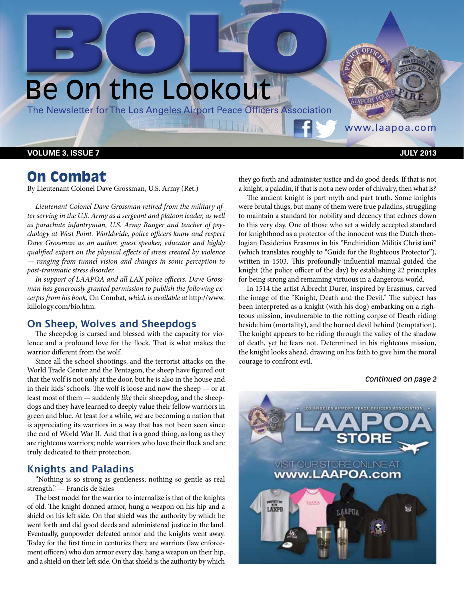# Be On the Lookout BOLO HO

The Newsletter for The Los Angeles Airport Peace Officers Association

## **VOLUME 3, ISSUE 7 July 2013**

www.laapoa.com

## On Combat

By Lieutenant Colonel Dave Grossman, U.S. Army (Ret.)

*Lieutenant Colonel Dave Grossman retired from the military after serving in the U.S. Army as a sergeant and platoon leader, as well as parachute infantryman, U.S. Army Ranger and teacher of psychology at West Point. Worldwide, police officers know and respect Dave Grossman as an author, guest speaker, educator and highly qualified expert on the physical effects of stress created by violence — ranging from tunnel vision and changes in sonic perception to post-traumatic stress disorder.*

*In support of LAAPOA and all LAX police officers, Dave Grossman has generously granted permission to publish the following excerpts from his book,* On Combat*, which is available at* http://www. killology.com/bio.htm.

## **On Sheep, Wolves and Sheepdogs**

The sheepdog is cursed and blessed with the capacity for violence and a profound love for the flock. That is what makes the warrior different from the wolf.

Since all the school shootings, and the terrorist attacks on the World Trade Center and the Pentagon, the sheep have figured out that the wolf is not only at the door, but he is also in the house and in their kids' schools. The wolf is loose and now the sheep — or at least most of them — suddenly *like* their sheepdog, and the sheepdogs and they have learned to deeply value their fellow warriors in green and blue. At least for a while, we are becoming a nation that is appreciating its warriors in a way that has not been seen since the end of World War II. And that is a good thing, as long as they are righteous warriors; noble warriors who love their flock and are truly dedicated to their protection.

## **Knights and Paladins**

"Nothing is so strong as gentleness; nothing so gentle as real strength." — Francis de Sales

The best model for the warrior to internalize is that of the knights of old. The knight donned armor, hung a weapon on his hip and a shield on his left side. On that shield was the authority by which he went forth and did good deeds and administered justice in the land. Eventually, gunpowder defeated armor and the knights went away. Today for the first time in centuries there are warriors (law enforcement officers) who don armor every day, hang a weapon on their hip, and a shield on their left side. On that shield is the authority by which they go forth and administer justice and do good deeds. If that is not a knight, a paladin, if that is not a new order of chivalry, then what is?

The ancient knight is part myth and part truth. Some knights were brutal thugs, but many of them were true paladins, struggling to maintain a standard for nobility and decency that echoes down to this very day. One of those who set a widely accepted standard for knighthood as a protector of the innocent was the Dutch theologian Desiderius Erasmus in his "Enchiridion Militis Christiani" (which translates roughly to "Guide for the Righteous Protector"), written in 1503. This profoundly influential manual guided the knight (the police officer of the day) by establishing 22 principles for being strong and remaining virtuous in a dangerous world.

In 1514 the artist Albrecht Durer, inspired by Erasmus, carved the image of the "Knight, Death and the Devil." The subject has been interpreted as a knight (with his dog) embarking on a righteous mission, invulnerable to the rotting corpse of Death riding beside him (mortality), and the horned devil behind (temptation). The knight appears to be riding through the valley of the shadow of death, yet he fears not. Determined in his righteous mission, the knight looks ahead, drawing on his faith to give him the moral courage to confront evil.

#### *Continued on page 2*

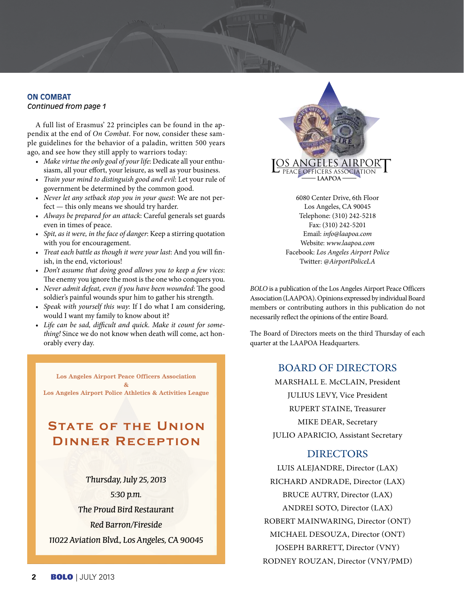#### **On Combat** *Continued from page 1*

A full list of Erasmus' 22 principles can be found in the appendix at the end of *On Combat*. For now, consider these sample guidelines for the behavior of a paladin, written 500 years ago, and see how they still apply to warriors today:

- *• Make virtue the only goal of your life*: Dedicate all your enthusiasm, all your effort, your leisure, as well as your business.
- *• Train your mind to distinguish good and evil*: Let your rule of government be determined by the common good.
- *• Never let any setback stop you in your quest*: We are not perfect — this only means we should try harder.
- *• Always be prepared for an attack*: Careful generals set guards even in times of peace.
- *• Spit, as it were, in the face of danger*: Keep a stirring quotation with you for encouragement.
- *• Treat each battle as though it were your last*: And you will finish, in the end, victorious!
- *• Don't assume that doing good allows you to keep a few vices*: The enemy you ignore the most is the one who conquers you.
- *• Never admit defeat, even if you have been wounded*: The good soldier's painful wounds spur him to gather his strength.
- *• Speak with yourself this way*: If I do what I am considering, would I want my family to know about it?
- *• Life can be sad, difficult and quick. Make it count for something!* Since we do not know when death will come, act honorably every day.

**Los Angeles Airport Peace Officers Association & Los Angeles Airport Police Athletics & Activities League**

## **State of the Union Dinner Reception**

*Thursday, July 25, 2013 5:30 p.m. The Proud Bird Restaurant Red Barron/Fireside 11022 Aviation Blvd., Los Angeles, CA 90045*



6080 Center Drive, 6th Floor Los Angeles, CA 90045 Telephone: (310) 242-5218 Fax: (310) 242-5201 Email: *info@laapoa.com* Website: *www.laapoa.com* Facebook: *Los Angeles Airport Police* Twitter: @*AirportPoliceLA*

*BOLO* is a publication of the Los Angeles Airport Peace Officers Association (LAAPOA). Opinions expressed by individual Board members or contributing authors in this publication do not necessarily reflect the opinions of the entire Board.

The Board of Directors meets on the third Thursday of each quarter at the LAAPOA Headquarters.

## BOARD OF DIRECTORS

Marshall E. McClain, President Julius Levy, Vice President RUPERT STAINE, Treasurer MIKE DEAR, Secretary Julio Aparicio, Assistant Secretary

## DIRECTORS

LUIS ALEJANDRE, Director (LAX) Richard Andrade, Director (LAX) BRUCE AUTRY, Director (LAX) ANDREI SOTO, Director (LAX) Robert Mainwaring, Director (ONT) Michael DeSouza, Director (ONT) JOSEPH BARRETT, Director (VNY) Rodney Rouzan, Director (VNY/PMD)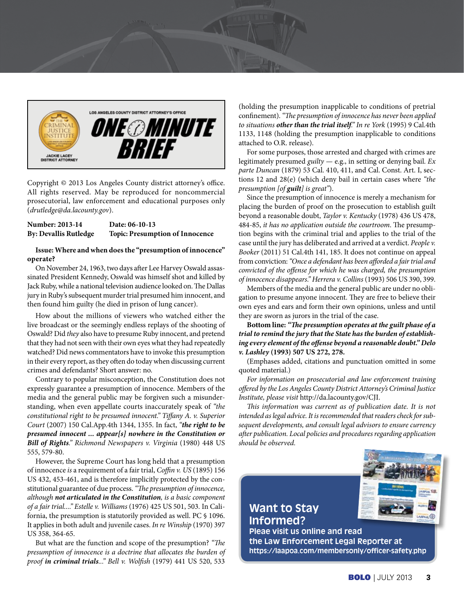

Copyright © 2013 Los Angeles County district attorney's office. All rights reserved. May be reproduced for noncommercial prosecutorial, law enforcement and educational purposes only (*drutledge@da.lacounty.gov*).

### **Number: 2013-14 Date: 06-10-13 By: Devallis Rutledge Topic: Presumption of Innocence**

#### **Issue: Where and when does the "presumption of innocence" operate?**

On November 24, 1963, two days after Lee Harvey Oswald assassinated President Kennedy, Oswald was himself shot and killed by Jack Ruby, while a national television audience looked on. The Dallas jury in Ruby's subsequent murder trial presumed him innocent, and then found him guilty (he died in prison of lung cancer).

How about the millions of viewers who watched either the live broadcast or the seemingly endless replays of the shooting of Oswald? Did *they* also have to presume Ruby innocent, and pretend that they had not seen with their own eyes what they had repeatedly watched? Did news commentators have to invoke this presumption in their every report, as they often do today when discussing current crimes and defendants? Short answer: no.

Contrary to popular misconception, the Constitution does not expressly guarantee a presumption of innocence. Members of the media and the general public may be forgiven such a misunderstanding, when even appellate courts inaccurately speak of *"the constitutional right to be presumed innocent." Tiffany A. v. Superior Court* (2007) 150 Cal.App.4th 1344, 1355. In fact, *"the right to be presumed innocent ... appear[s] nowhere in the Constitution or Bill of Rights." Richmond Newspapers v. Virginia* (1980) 448 US 555, 579-80.

However, the Supreme Court has long held that a presumption of innocence *is* a requirement of a fair trial, *Coffin v. US* (1895) 156 US 432, 453-461, and is therefore implicitly protected by the constitutional guarantee of due process. *"The presumption of innocence, although not articulated in the Constitution, is a basic component of a fair trial...." Estelle v. Williams* (1976) 425 US 501, 503*.* In California, the presumption is statutorily provided as well. PC § 1096. It applies in both adult and juvenile cases. *In re Winship* (1970) 397 US 358, 364-65.

But what are the function and scope of the presumption? *"The presumption of innocence is a doctrine that allocates the burden of proof in criminal trials..." Bell v. Wolfish* (1979) 441 US 520, 533

(holding the presumption inapplicable to conditions of pretrial confinement). *"The presumption of innocence has never been applied to situations other than the trial itself." In re York* (1995) 9 Cal.4th 1133, 1148 (holding the presumption inapplicable to conditions attached to O.R. release).

For some purposes, those arrested and charged with crimes are legitimately presumed *guilty —* e.g., in setting or denying bail. *Ex parte Duncan* (1879) 53 Cal. 410, 411, and Cal. Const. Art. I, sections 12 and 28(e) (which deny bail in certain cases where *"the presumption [of guilt] is great"*).

Since the presumption of innocence is merely a mechanism for placing the burden of proof on the prosecution to establish guilt beyond a reasonable doubt, *Taylor v. Kentucky* (1978) 436 US 478, 484-85, *it has no application outside the courtroom*. The presumption begins with the criminal trial and applies to the trial of the case until the jury has deliberated and arrived at a verdict. *People v. Booker* (2011) 51 Cal.4th 141, 185. It does not continue on appeal from conviction: *"Once a defendant has been afforded a fair trial and convicted of the offense for which he was charged, the presumption of innocence disappears." Herrera v. Collins* (1993) 506 US 390, 399.

Members of the media and the general public are under no obligation to presume anyone innocent. They are free to believe their own eyes and ears and form their own opinions, unless and until they are sworn as jurors in the trial of the case.

**Bottom line:** *"The presumption operates at the guilt phase of a trial to remind the jury that the State has the burden of establishing every element of the offense beyond a reasonable doubt." Delo v. Lashley* **(1993) 507 US 272, 278.** 

(Emphases added, citations and punctuation omitted in some quoted material.)

*For information on prosecutorial and law enforcement training offered by the Los Angeles County District Attorney's Criminal Justice Institute, please visit* http://da.lacounty.gov/CJI.

*This information was current as of publication date. It is not intended as legal advice. It is recommended that readers check for subsequent developments, and consult legal advisors to ensure currency after publication. Local policies and procedures regarding application should be observed.*

## **Want to Stay Informed?**

**Pleae visit us online and read the Law Enforcement Legal Reporter at https://laapoa.com/membersonly/officer-safety.php**